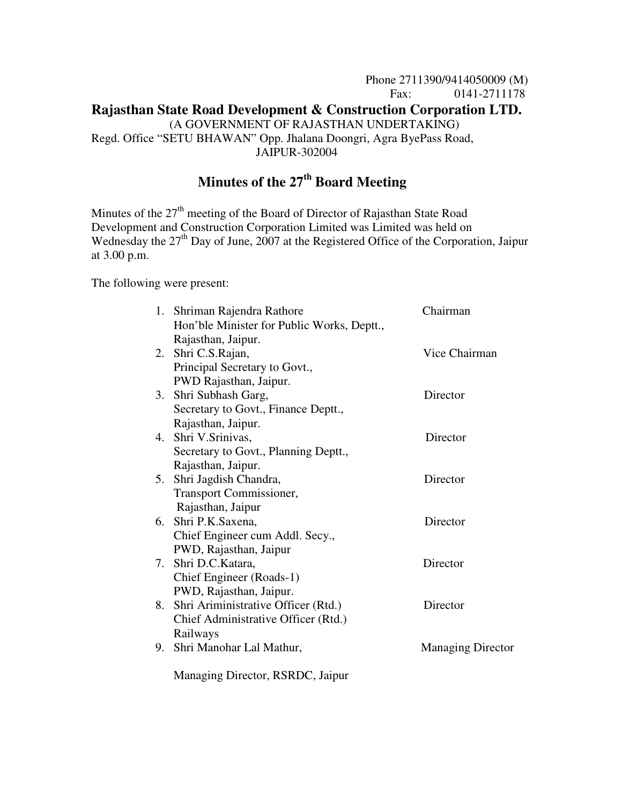## Phone 2711390/9414050009 (M) Fax: 0141-2711178 **Rajasthan State Road Development & Construction Corporation LTD.** (A GOVERNMENT OF RAJASTHAN UNDERTAKING) Regd. Office "SETU BHAWAN" Opp. Jhalana Doongri, Agra ByePass Road, JAIPUR-302004

# **Minutes of the 27th Board Meeting**

Minutes of the  $27<sup>th</sup>$  meeting of the Board of Director of Rajasthan State Road Development and Construction Corporation Limited was Limited was held on Wednesday the  $27<sup>th</sup>$  Day of June, 2007 at the Registered Office of the Corporation, Jaipur at 3.00 p.m.

The following were present:

| 1. Shriman Rajendra Rathore                | Chairman                 |
|--------------------------------------------|--------------------------|
| Hon'ble Minister for Public Works, Deptt., |                          |
| Rajasthan, Jaipur.                         |                          |
| 2. Shri C.S.Rajan,                         | Vice Chairman            |
| Principal Secretary to Govt.,              |                          |
| PWD Rajasthan, Jaipur.                     |                          |
| 3. Shri Subhash Garg,                      | Director                 |
| Secretary to Govt., Finance Deptt.,        |                          |
| Rajasthan, Jaipur.                         |                          |
| 4. Shri V.Srinivas,                        | Director                 |
| Secretary to Govt., Planning Deptt.,       |                          |
| Rajasthan, Jaipur.                         |                          |
| 5. Shri Jagdish Chandra,                   | Director                 |
| Transport Commissioner,                    |                          |
| Rajasthan, Jaipur                          |                          |
| 6. Shri P.K.Saxena,                        | Director                 |
| Chief Engineer cum Addl. Secy.,            |                          |
| PWD, Rajasthan, Jaipur                     |                          |
| 7. Shri D.C.Katara,                        | Director                 |
| Chief Engineer (Roads-1)                   |                          |
| PWD, Rajasthan, Jaipur.                    |                          |
| 8. Shri Ariministrative Officer (Rtd.)     | Director                 |
| Chief Administrative Officer (Rtd.)        |                          |
| Railways                                   |                          |
| 9. Shri Manohar Lal Mathur,                | <b>Managing Director</b> |
| Managing Director, RSRDC, Jaipur           |                          |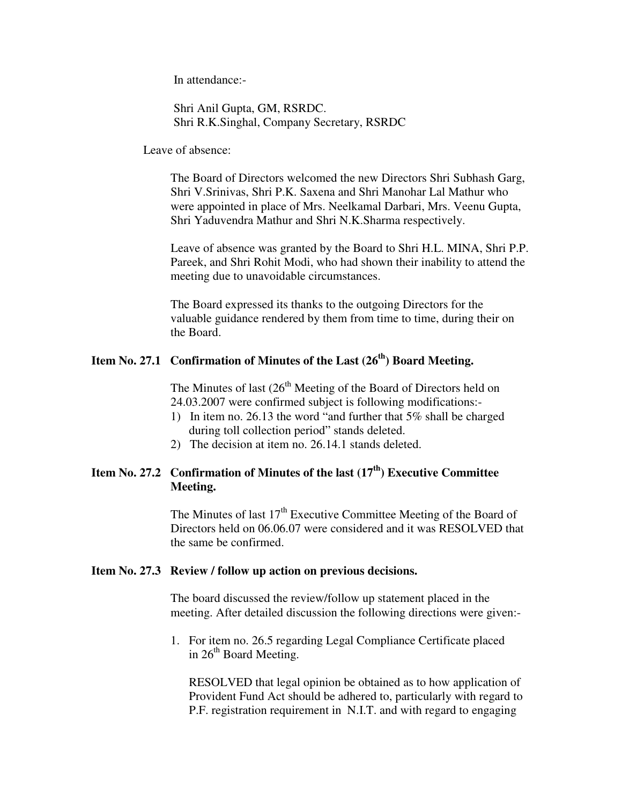In attendance:-

 Shri Anil Gupta, GM, RSRDC. Shri R.K.Singhal, Company Secretary, RSRDC

Leave of absence:

 The Board of Directors welcomed the new Directors Shri Subhash Garg, Shri V.Srinivas, Shri P.K. Saxena and Shri Manohar Lal Mathur who were appointed in place of Mrs. Neelkamal Darbari, Mrs. Veenu Gupta, Shri Yaduvendra Mathur and Shri N.K.Sharma respectively.

 Leave of absence was granted by the Board to Shri H.L. MINA, Shri P.P. Pareek, and Shri Rohit Modi, who had shown their inability to attend the meeting due to unavoidable circumstances.

 The Board expressed its thanks to the outgoing Directors for the valuable guidance rendered by them from time to time, during their on the Board.

# **Item No. 27.1 Confirmation of Minutes of the Last (26th) Board Meeting.**

The Minutes of last  $(26<sup>th</sup> Meeting of the Board of Directors held on$ 24.03.2007 were confirmed subject is following modifications:-

- 1) In item no. 26.13 the word "and further that 5% shall be charged during toll collection period" stands deleted.
- 2) The decision at item no. 26.14.1 stands deleted.

## **Item No. 27.2 Confirmation of Minutes of the last (17th) Executive Committee Meeting.**

The Minutes of last  $17<sup>th</sup>$  Executive Committee Meeting of the Board of Directors held on 06.06.07 were considered and it was RESOLVED that the same be confirmed.

#### **Item No. 27.3 Review / follow up action on previous decisions.**

The board discussed the review/follow up statement placed in the meeting. After detailed discussion the following directions were given:-

 1. For item no. 26.5 regarding Legal Compliance Certificate placed in 26<sup>th</sup> Board Meeting.

 RESOLVED that legal opinion be obtained as to how application of Provident Fund Act should be adhered to, particularly with regard to P.F. registration requirement in N.I.T. and with regard to engaging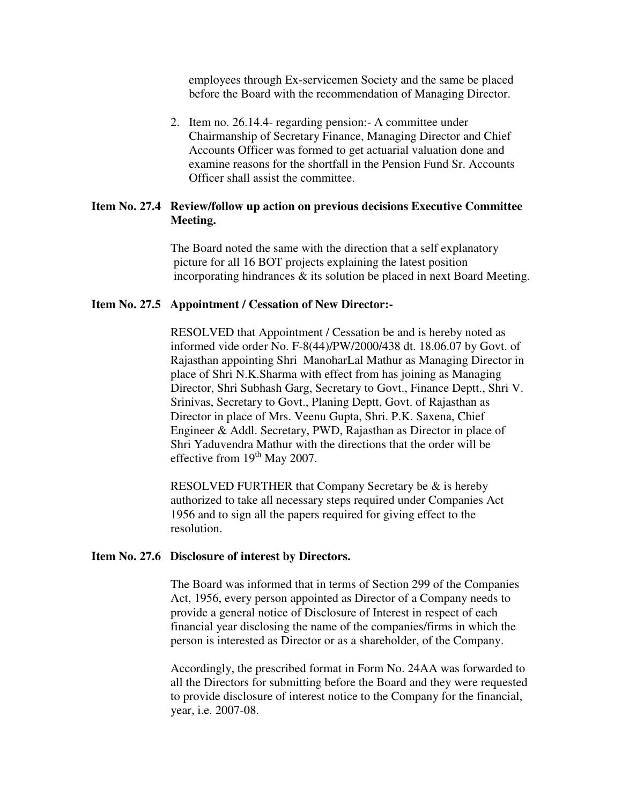employees through Ex-servicemen Society and the same be placed before the Board with the recommendation of Managing Director.

 2. Item no. 26.14.4- regarding pension:- A committee under Chairmanship of Secretary Finance, Managing Director and Chief Accounts Officer was formed to get actuarial valuation done and examine reasons for the shortfall in the Pension Fund Sr. Accounts Officer shall assist the committee.

#### **Item No. 27.4 Review/follow up action on previous decisions Executive Committee Meeting.**

 The Board noted the same with the direction that a self explanatory picture for all 16 BOT projects explaining the latest position incorporating hindrances & its solution be placed in next Board Meeting.

#### **Item No. 27.5 Appointment / Cessation of New Director:-**

RESOLVED that Appointment / Cessation be and is hereby noted as informed vide order No. F-8(44)/PW/2000/438 dt. 18.06.07 by Govt. of Rajasthan appointing Shri ManoharLal Mathur as Managing Director in place of Shri N.K.Sharma with effect from has joining as Managing Director, Shri Subhash Garg, Secretary to Govt., Finance Deptt., Shri V. Srinivas, Secretary to Govt., Planing Deptt, Govt. of Rajasthan as Director in place of Mrs. Veenu Gupta, Shri. P.K. Saxena, Chief Engineer & Addl. Secretary, PWD, Rajasthan as Director in place of Shri Yaduvendra Mathur with the directions that the order will be effective from 19<sup>th</sup> May 2007.

 RESOLVED FURTHER that Company Secretary be & is hereby authorized to take all necessary steps required under Companies Act 1956 and to sign all the papers required for giving effect to the resolution.

#### **Item No. 27.6 Disclosure of interest by Directors.**

The Board was informed that in terms of Section 299 of the Companies Act, 1956, every person appointed as Director of a Company needs to provide a general notice of Disclosure of Interest in respect of each financial year disclosing the name of the companies/firms in which the person is interested as Director or as a shareholder, of the Company.

 Accordingly, the prescribed format in Form No. 24AA was forwarded to all the Directors for submitting before the Board and they were requested to provide disclosure of interest notice to the Company for the financial, year, i.e. 2007-08.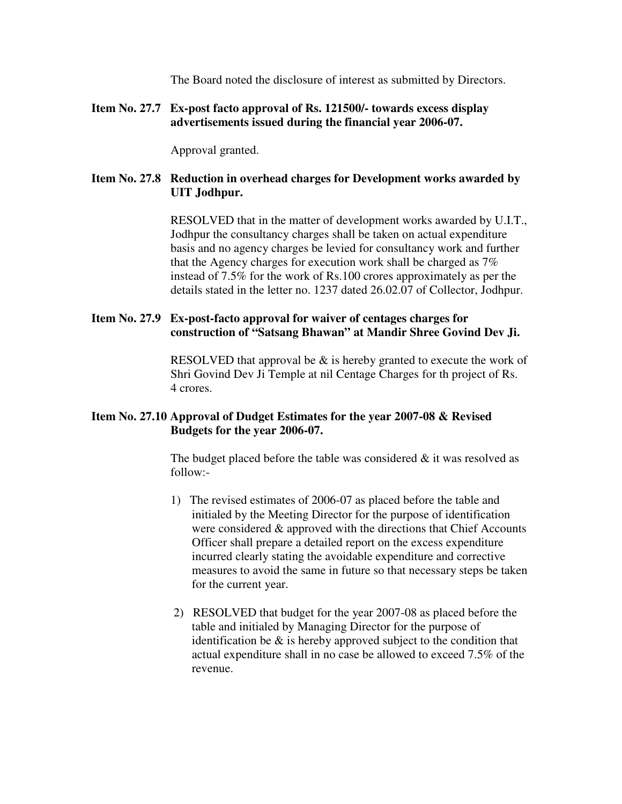The Board noted the disclosure of interest as submitted by Directors.

#### **Item No. 27.7 Ex-post facto approval of Rs. 121500/- towards excess display advertisements issued during the financial year 2006-07.**

Approval granted.

### **Item No. 27.8 Reduction in overhead charges for Development works awarded by UIT Jodhpur.**

RESOLVED that in the matter of development works awarded by U.I.T., Jodhpur the consultancy charges shall be taken on actual expenditure basis and no agency charges be levied for consultancy work and further that the Agency charges for execution work shall be charged as 7% instead of 7.5% for the work of Rs.100 crores approximately as per the details stated in the letter no. 1237 dated 26.02.07 of Collector, Jodhpur.

### **Item No. 27.9 Ex-post-facto approval for waiver of centages charges for construction of "Satsang Bhawan" at Mandir Shree Govind Dev Ji.**

RESOLVED that approval be  $\&$  is hereby granted to execute the work of Shri Govind Dev Ji Temple at nil Centage Charges for th project of Rs. 4 crores.

## **Item No. 27.10 Approval of Dudget Estimates for the year 2007-08 & Revised Budgets for the year 2006-07.**

The budget placed before the table was considered  $\&$  it was resolved as follow:-

- 1) The revised estimates of 2006-07 as placed before the table and initialed by the Meeting Director for the purpose of identification were considered & approved with the directions that Chief Accounts Officer shall prepare a detailed report on the excess expenditure incurred clearly stating the avoidable expenditure and corrective measures to avoid the same in future so that necessary steps be taken for the current year.
- 2) RESOLVED that budget for the year 2007-08 as placed before the table and initialed by Managing Director for the purpose of identification be  $\&$  is hereby approved subject to the condition that actual expenditure shall in no case be allowed to exceed 7.5% of the revenue.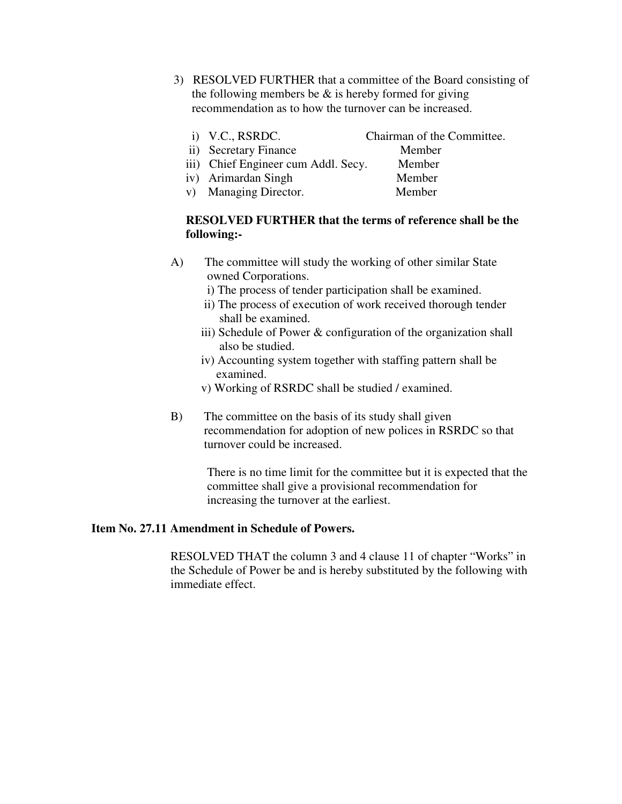- 3) RESOLVED FURTHER that a committee of the Board consisting of the following members be  $\&$  is hereby formed for giving recommendation as to how the turnover can be increased.
	- i) V.C., RSRDC. Chairman of the Committee. ii) Secretary Finance Member iii) Chief Engineer cum Addl. Secy. Member iv) Arimardan Singh Member v) Managing Director. Member

## **RESOLVED FURTHER that the terms of reference shall be the following:-**

- A) The committee will study the working of other similar State owned Corporations.
	- i) The process of tender participation shall be examined.
	- ii) The process of execution of work received thorough tender shall be examined.
	- iii) Schedule of Power & configuration of the organization shall also be studied.
	- iv) Accounting system together with staffing pattern shall be examined.
	- v) Working of RSRDC shall be studied / examined.
- B) The committee on the basis of its study shall given recommendation for adoption of new polices in RSRDC so that turnover could be increased.

 There is no time limit for the committee but it is expected that the committee shall give a provisional recommendation for increasing the turnover at the earliest.

#### **Item No. 27.11 Amendment in Schedule of Powers.**

 RESOLVED THAT the column 3 and 4 clause 11 of chapter "Works" in the Schedule of Power be and is hereby substituted by the following with immediate effect.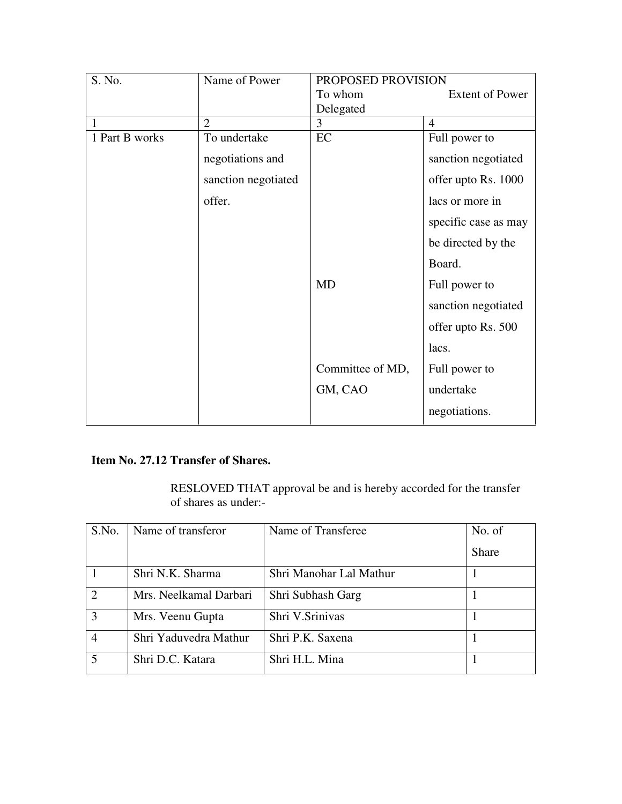| S. No.         | Name of Power       | PROPOSED PROVISION |                        |
|----------------|---------------------|--------------------|------------------------|
|                |                     | To whom            | <b>Extent of Power</b> |
|                |                     | Delegated          |                        |
|                | $\overline{2}$      | 3                  | $\overline{4}$         |
| 1 Part B works | To undertake        | EC                 | Full power to          |
|                | negotiations and    |                    | sanction negotiated    |
|                | sanction negotiated |                    | offer upto Rs. 1000    |
|                | offer.              |                    | lacs or more in        |
|                |                     |                    | specific case as may   |
|                |                     |                    | be directed by the     |
|                |                     |                    | Board.                 |
|                |                     | MD                 | Full power to          |
|                |                     |                    | sanction negotiated    |
|                |                     |                    | offer upto Rs. 500     |
|                |                     |                    | lacs.                  |
|                |                     | Committee of MD,   | Full power to          |
|                |                     | GM, CAO            | undertake              |
|                |                     |                    | negotiations.          |

# **Item No. 27.12 Transfer of Shares.**

RESLOVED THAT approval be and is hereby accorded for the transfer of shares as under:-

| S.No.         | Name of transferor     | Name of Transferee      | No. of |
|---------------|------------------------|-------------------------|--------|
|               |                        |                         | Share  |
|               | Shri N.K. Sharma       | Shri Manohar Lal Mathur |        |
| $\mathcal{D}$ | Mrs. Neelkamal Darbari | Shri Subhash Garg       |        |
| 3             | Mrs. Veenu Gupta       | Shri V.Srinivas         |        |
|               | Shri Yaduvedra Mathur  | Shri P.K. Saxena        |        |
|               | Shri D.C. Katara       | Shri H.L. Mina          |        |